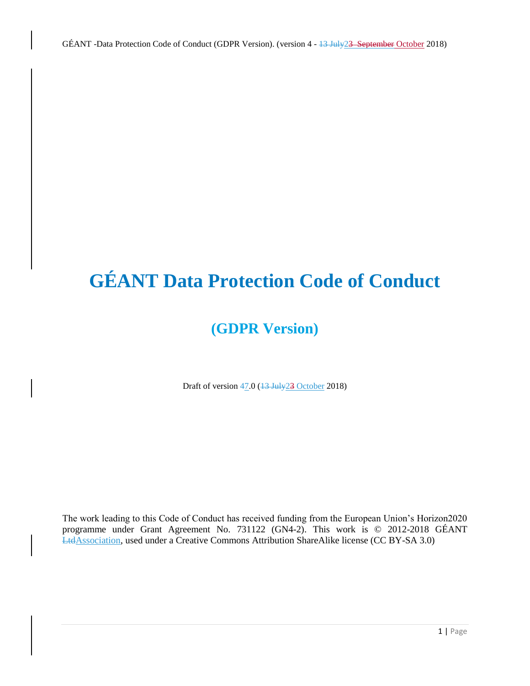# **GÉANT Data Protection Code of Conduct**

# **(GDPR Version)**

Draft of version 47.0 (13 July 23 October 2018)

The work leading to this Code of Conduct has received funding from the European Union's Horizon2020 programme under Grant Agreement No. 731122 (GN4-2). This work is © 2012-2018 GÉANT LtdAssociation, used under a Creative Commons Attribution ShareAlike license (CC BY-SA 3.0)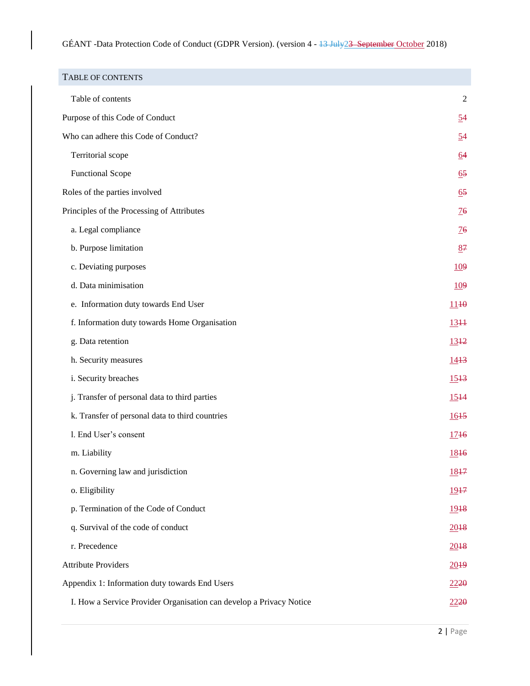<span id="page-1-0"></span>

| <b>TABLE OF CONTENTS</b>                                            |                  |
|---------------------------------------------------------------------|------------------|
| Table of contents                                                   | 2                |
| Purpose of this Code of Conduct                                     | 54               |
| Who can adhere this Code of Conduct?                                | 54               |
| Territorial scope                                                   | 64               |
| <b>Functional Scope</b>                                             | 65               |
| Roles of the parties involved                                       | $\underline{65}$ |
| Principles of the Processing of Attributes                          | $\frac{76}{5}$   |
| a. Legal compliance                                                 | $\frac{76}{5}$   |
| b. Purpose limitation                                               | 87               |
| c. Deviating purposes                                               | <u>109</u>       |
| d. Data minimisation                                                | <u>109</u>       |
| e. Information duty towards End User                                | 1140             |
| f. Information duty towards Home Organisation                       | $13 + 1$         |
| g. Data retention                                                   | $13 + 2$         |
| h. Security measures                                                | 1443             |
| i. Security breaches                                                | $15 + 3$         |
| j. Transfer of personal data to third parties                       | $15 + 4$         |
| k. Transfer of personal data to third countries                     | 1615             |
| l. End User's consent                                               | 1746             |
| m. Liability                                                        | 1846             |
| n. Governing law and jurisdiction                                   | 1847             |
| o. Eligibility                                                      | 1917             |
| p. Termination of the Code of Conduct                               | 1948             |
| q. Survival of the code of conduct                                  | 2018             |
| r. Precedence                                                       | 2018             |
| <b>Attribute Providers</b>                                          | 2019             |
| Appendix 1: Information duty towards End Users                      |                  |
| I. How a Service Provider Organisation can develop a Privacy Notice |                  |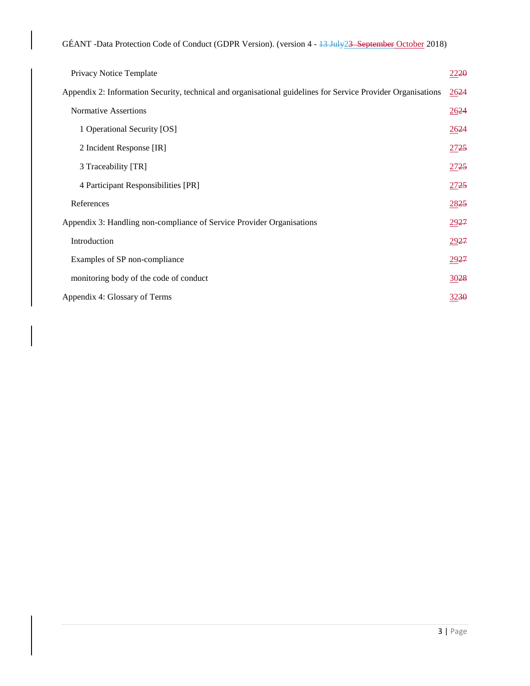| Privacy Notice Template                                                                                      | 2220 |
|--------------------------------------------------------------------------------------------------------------|------|
| Appendix 2: Information Security, technical and organisational guidelines for Service Provider Organisations | 2624 |
| <b>Normative Assertions</b>                                                                                  | 2624 |
| 1 Operational Security [OS]                                                                                  | 2624 |
| 2 Incident Response [IR]                                                                                     | 2725 |
| 3 Traceability [TR]                                                                                          | 2725 |
| 4 Participant Responsibilities [PR]                                                                          | 2725 |
| References                                                                                                   | 2825 |
| Appendix 3: Handling non-compliance of Service Provider Organisations                                        |      |
| Introduction                                                                                                 |      |
| Examples of SP non-compliance                                                                                |      |
| monitoring body of the code of conduct                                                                       | 3028 |
| Appendix 4: Glossary of Terms                                                                                | 3230 |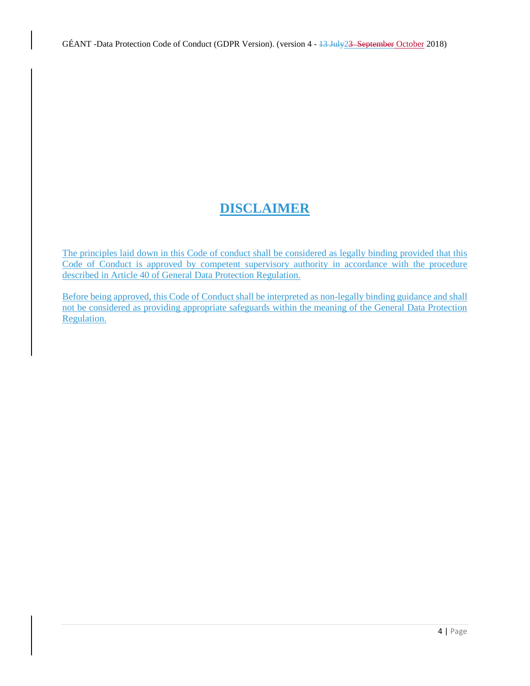# **DISCLAIMER**

The principles laid down in this Code of conduct shall be considered as legally binding provided that this Code of Conduct is approved by competent supervisory authority in accordance with the procedure described in Article 40 of General Data Protection Regulation.

Before being approved, this Code of Conduct shall be interpreted as non-legally binding guidance and shall not be considered as providing appropriate safeguards within the meaning of the General Data Protection Regulation.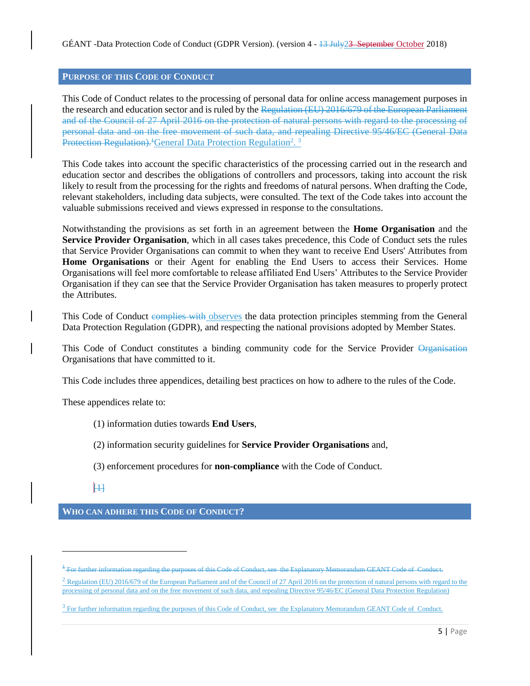### <span id="page-4-0"></span>**PURPOSE OF THIS CODE OF CONDUCT**

This Code of Conduct relates to the processing of personal data for online access management purposes in the research and education sector and is ruled by the Regulation (EU) 2016/679 of the European Parliament and of the Council of 27 April 2016 on the protection of natural persons with regard to the processing of personal data and on the free movement of such data, and repealing Directive 95/46/EC (General Data Protection Regulation).<sup>1</sup> General Data Protection Regulation<sup>2</sup>.<sup>3</sup>

This Code takes into account the specific characteristics of the processing carried out in the research and education sector and describes the obligations of controllers and processors, taking into account the risk likely to result from the processing for the rights and freedoms of natural persons. When drafting the Code, relevant stakeholders, including data subjects, were consulted. The text of the Code takes into account the valuable submissions received and views expressed in response to the consultations.

Notwithstanding the provisions as set forth in an agreement between the **Home Organisation** and the **Service Provider Organisation**, which in all cases takes precedence, this Code of Conduct sets the rules that Service Provider Organisations can commit to when they want to receive End Users' Attributes from **Home Organisations** or their Agent for enabling the End Users to access their Services. Home Organisations will feel more comfortable to release affiliated End Users' Attributes to the Service Provider Organisation if they can see that the Service Provider Organisation has taken measures to properly protect the Attributes.

This Code of Conduct complies with observes the data protection principles stemming from the General Data Protection Regulation (GDPR), and respecting the national provisions adopted by Member States.

This Code of Conduct constitutes a binding community code for the Service Provider Organization Organisations that have committed to it.

This Code includes three appendices, detailing best practices on how to adhere to the rules of the Code.

These appendices relate to:

(1) information duties towards **End Users**,

(2) information security guidelines for **Service Provider Organisations** and,

(3) enforcement procedures for **non-compliance** with the Code of Conduct.

 $|11|$ 

 $\overline{a}$ 

<span id="page-4-1"></span>**WHO CAN ADHERE THIS CODE OF CONDUCT?**

 $\frac{2 \text{ Regulation (EU)} 2016/679}$  of the European Parliament and of the Council of 27 April 2016 on the protection of natural persons with regard to the processing of personal data and on the free movement of such data, and repealing Directive 95/46/EC (General Data Protection Regulation)

<sup>&</sup>lt;sup>1</sup> For further information regarding the purposes of this Code of Conduct, see the Explanatory Memorandum GEANT Code of Conduct.

<sup>&</sup>lt;sup>3</sup> For further information regarding the purposes of this Code of Conduct, see the Explanatory Memorandum GEANT Code of Conduct.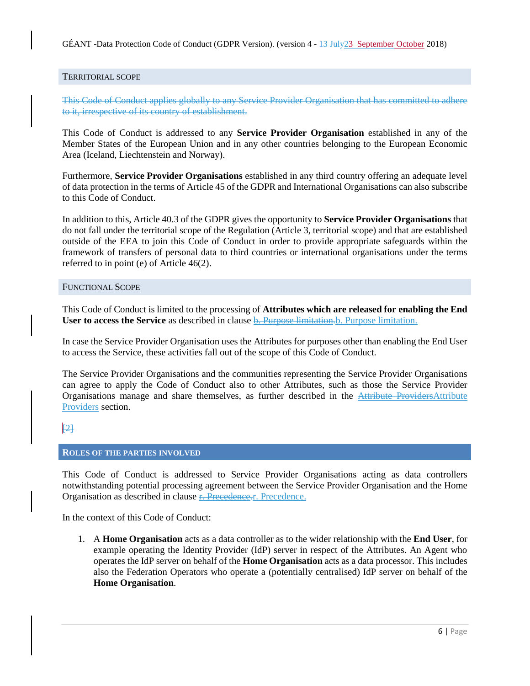GÉANT -Data Protection Code of Conduct (GDPR Version). (version 4 - 13 July 23 September October 2018)

#### <span id="page-5-0"></span>TERRITORIAL SCOPE

This Code of Conduct applies globally to any Service Provider Organisation that has committed to adhere to it, irrespective of its country of establishment.

This Code of Conduct is addressed to any **Service Provider Organisation** established in any of the Member States of the European Union and in any other countries belonging to the European Economic Area (Iceland, Liechtenstein and Norway).

Furthermore, **Service Provider Organisations** established in any third country offering an adequate level of data protection in the terms of Article 45 of the GDPR and International Organisations can also subscribe to this Code of Conduct.

In addition to this, Article 40.3 of the GDPR gives the opportunity to **Service Provider Organisations** that do not fall under the territorial scope of the Regulation (Article 3, territorial scope) and that are established outside of the EEA to join this Code of Conduct in order to provide appropriate safeguards within the framework of transfers of personal data to third countries or international organisations under the terms referred to in point (e) of Article 46(2).

#### <span id="page-5-1"></span>FUNCTIONAL SCOPE

This Code of Conduct is limited to the processing of **Attributes which are released for enabling the End User to access the Service** as described in clause **b.** Purpose limitation. Purpose limitation.

In case the Service Provider Organisation uses the Attributes for purposes other than enabling the End User to access the Service, these activities fall out of the scope of this Code of Conduct.

The Service Provider Organisations and the communities representing the Service Provider Organisations can agree to apply the Code of Conduct also to other Attributes, such as those the Service Provider Organisations manage and share themselves, as further described in the Attribute ProvidersAttribute Providers section.

# <span id="page-5-2"></span> $|2|$

#### **ROLES OF THE PARTIES INVOLVED**

This Code of Conduct is addressed to Service Provider Organisations acting as data controllers notwithstanding potential processing agreement between the Service Provider Organisation and the Home Organisation as described in clause **r.** Precedence.r. Precedence.

In the context of this Code of Conduct:

1. A **Home Organisation** acts as a data controller as to the wider relationship with the **End User**, for example operating the Identity Provider (IdP) server in respect of the Attributes. An Agent who operates the IdP server on behalf of the **Home Organisation** acts as a data processor. This includes also the Federation Operators who operate a (potentially centralised) IdP server on behalf of the **Home Organisation**.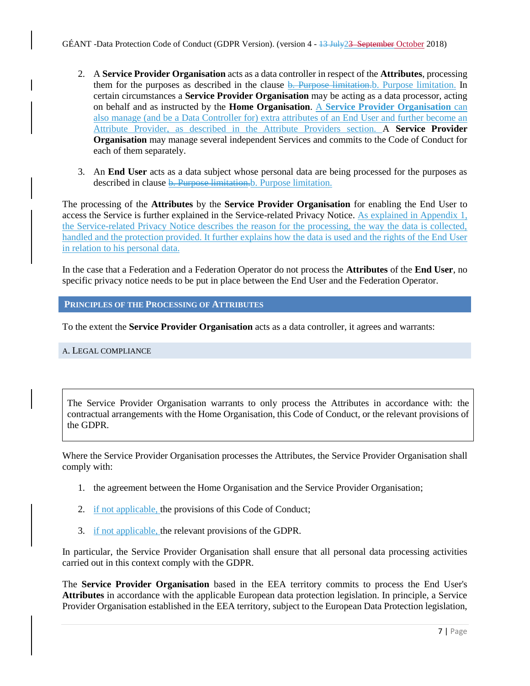- 2. A **Service Provider Organisation** acts as a data controller in respect of the **Attributes**, processing them for the purposes as described in the clause **b.** Purpose limitation. D. Purpose limitation. In certain circumstances a **Service Provider Organisation** may be acting as a data processor, acting on behalf and as instructed by the **Home Organisation**. A **Service Provider Organisation** can also manage (and be a Data Controller for) extra attributes of an End User and further become an Attribute Provider, as described in the Attribute Providers section. A **Service Provider Organisation** may manage several independent Services and commits to the Code of Conduct for each of them separately.
- 3. An **End User** acts as a data subject whose personal data are being processed for the purposes as described in clause **b. Purpose limitation**.b. Purpose limitation.

The processing of the **Attributes** by the **Service Provider Organisation** for enabling the End User to access the Service is further explained in the Service-related Privacy Notice. As explained in Appendix 1, the Service-related Privacy Notice describes the reason for the processing, the way the data is collected, handled and the protection provided. It further explains how the data is used and the rights of the End User in relation to his personal data.

In the case that a Federation and a Federation Operator do not process the **Attributes** of the **End User**, no specific privacy notice needs to be put in place between the End User and the Federation Operator.

<span id="page-6-0"></span>**PRINCIPLES OF THE PROCESSING OF ATTRIBUTES**

To the extent the **Service Provider Organisation** acts as a data controller, it agrees and warrants:

<span id="page-6-1"></span>A. LEGAL COMPLIANCE

The Service Provider Organisation warrants to only process the Attributes in accordance with: the contractual arrangements with the Home Organisation, this Code of Conduct, or the relevant provisions of the GDPR.

Where the Service Provider Organisation processes the Attributes, the Service Provider Organisation shall comply with:

- 1. the agreement between the Home Organisation and the Service Provider Organisation;
- 2. if not applicable, the provisions of this Code of Conduct;
- 3. if not applicable, the relevant provisions of the GDPR.

In particular, the Service Provider Organisation shall ensure that all personal data processing activities carried out in this context comply with the GDPR.

The **Service Provider Organisation** based in the EEA territory commits to process the End User's **Attributes** in accordance with the applicable European data protection legislation. In principle, a Service Provider Organisation established in the EEA territory, subject to the European Data Protection legislation,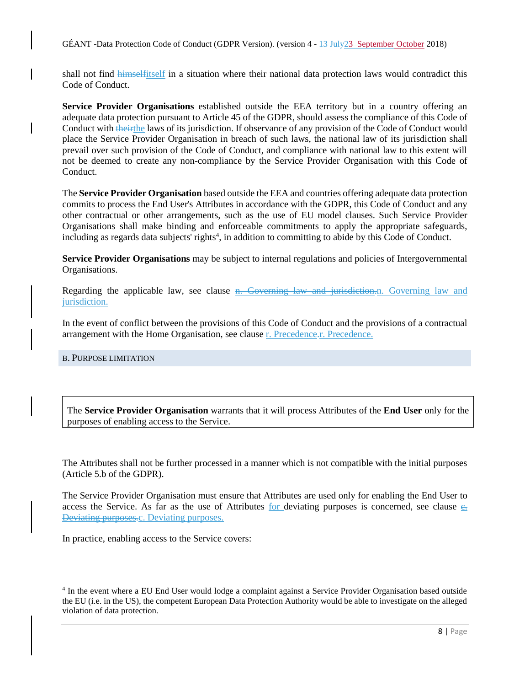GÉANT -Data Protection Code of Conduct (GDPR Version). (version 4 - 13 July 23 September October 2018)

shall not find himselfitself in a situation where their national data protection laws would contradict this Code of Conduct.

**Service Provider Organisations** established outside the EEA territory but in a country offering an adequate data protection pursuant to Article 45 of the GDPR, should assess the compliance of this Code of Conduct with theirthe laws of its jurisdiction. If observance of any provision of the Code of Conduct would place the Service Provider Organisation in breach of such laws, the national law of its jurisdiction shall prevail over such provision of the Code of Conduct, and compliance with national law to this extent will not be deemed to create any non-compliance by the Service Provider Organisation with this Code of Conduct.

The **Service Provider Organisation** based outside the EEA and countries offering adequate data protection commits to process the End User's Attributes in accordance with the GDPR, this Code of Conduct and any other contractual or other arrangements, such as the use of EU model clauses. Such Service Provider Organisations shall make binding and enforceable commitments to apply the appropriate safeguards, including as regards data subjects' rights<sup>4</sup>, in addition to committing to abide by this Code of Conduct.

**Service Provider Organisations** may be subject to internal regulations and policies of Intergovernmental Organisations.

Regarding the applicable law, see clause n. Governing law and jurisdiction.n. Governing law and jurisdiction.

In the event of conflict between the provisions of this Code of Conduct and the provisions of a contractual arrangement with the Home Organisation, see clause <del>r. Precedence.</del>r. Precedence.

#### <span id="page-7-0"></span>B. PURPOSE LIMITATION

 $\overline{a}$ 

The **Service Provider Organisation** warrants that it will process Attributes of the **End User** only for the purposes of enabling access to the Service.

The Attributes shall not be further processed in a manner which is not compatible with the initial purposes (Article 5.b of the GDPR).

The Service Provider Organisation must ensure that Attributes are used only for enabling the End User to access the Service. As far as the use of Attributes for deviating purposes is concerned, see clause  $\epsilon$ . Deviating purposes.c. Deviating purposes.

In practice, enabling access to the Service covers:

<sup>&</sup>lt;sup>4</sup> In the event where a EU End User would lodge a complaint against a Service Provider Organisation based outside the EU (i.e. in the US), the competent European Data Protection Authority would be able to investigate on the alleged violation of data protection.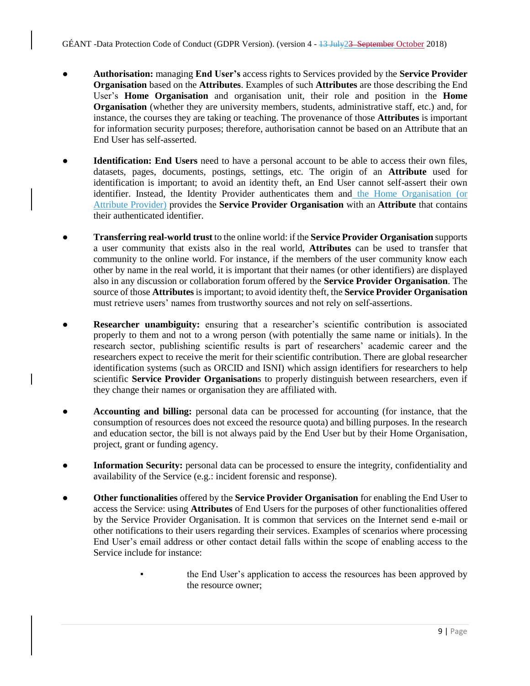- **Authorisation:** managing **End User's** access rights to Services provided by the **Service Provider Organisation** based on the **Attributes**. Examples of such **Attributes** are those describing the End User's **Home Organisation** and organisation unit, their role and position in the **Home Organisation** (whether they are university members, students, administrative staff, etc.) and, for instance, the courses they are taking or teaching. The provenance of those **Attributes** is important for information security purposes; therefore, authorisation cannot be based on an Attribute that an End User has self-asserted.
- **Identification: End Users** need to have a personal account to be able to access their own files, datasets, pages, documents, postings, settings, etc. The origin of an **Attribute** used for identification is important; to avoid an identity theft, an End User cannot self-assert their own identifier. Instead, the Identity Provider authenticates them and the Home Organisation (or Attribute Provider) provides the **Service Provider Organisation** with an **Attribute** that contains their authenticated identifier.
- **Transferring real-world trust** to the online world: if the **Service Provider Organisation** supports a user community that exists also in the real world, **Attributes** can be used to transfer that community to the online world. For instance, if the members of the user community know each other by name in the real world, it is important that their names (or other identifiers) are displayed also in any discussion or collaboration forum offered by the **Service Provider Organisation**. The source of those **Attributes** is important; to avoid identity theft, the **Service Provider Organisation** must retrieve users' names from trustworthy sources and not rely on self-assertions.
- **Researcher unambiguity:** ensuring that a researcher's scientific contribution is associated properly to them and not to a wrong person (with potentially the same name or initials). In the research sector, publishing scientific results is part of researchers' academic career and the researchers expect to receive the merit for their scientific contribution. There are global researcher identification systems (such as ORCID and ISNI) which assign identifiers for researchers to help scientific **Service Provider Organisation**s to properly distinguish between researchers, even if they change their names or organisation they are affiliated with.
- **Accounting and billing:** personal data can be processed for accounting (for instance, that the consumption of resources does not exceed the resource quota) and billing purposes. In the research and education sector, the bill is not always paid by the End User but by their Home Organisation, project, grant or funding agency.
- **Information Security:** personal data can be processed to ensure the integrity, confidentiality and availability of the Service (e.g.: incident forensic and response).
- **Other functionalities** offered by the **Service Provider Organisation** for enabling the End User to access the Service: using **Attributes** of End Users for the purposes of other functionalities offered by the Service Provider Organisation. It is common that services on the Internet send e-mail or other notifications to their users regarding their services. Examples of scenarios where processing End User's email address or other contact detail falls within the scope of enabling access to the Service include for instance:
	- the End User's application to access the resources has been approved by the resource owner;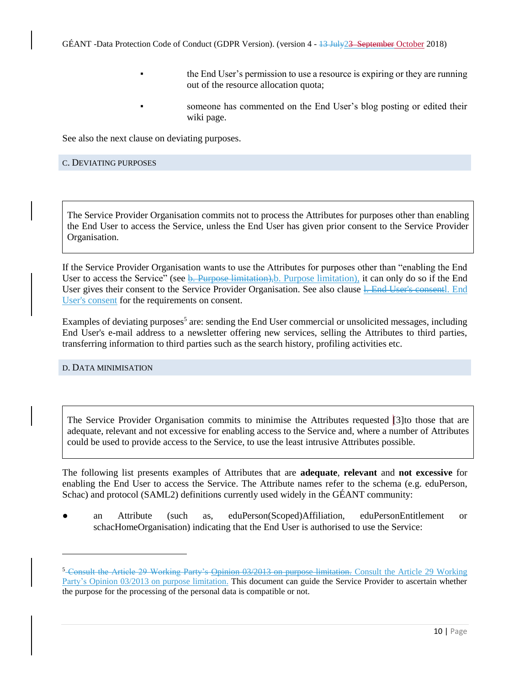- the End User's permission to use a resource is expiring or they are running out of the resource allocation quota;
	- someone has commented on the End User's blog posting or edited their wiki page.

See also the next clause on deviating purposes.

#### <span id="page-9-0"></span>C. DEVIATING PURPOSES

The Service Provider Organisation commits not to process the Attributes for purposes other than enabling the End User to access the Service, unless the End User has given prior consent to the Service Provider Organisation.

If the Service Provider Organisation wants to use the Attributes for purposes other than "enabling the End User to access the Service" (see b. Purpose limitation), b. Purpose limitation), it can only do so if the End User gives their consent to the Service Provider Organisation. See also clause 1. End User's consentl. End User's consent for the requirements on consent.

Examples of deviating purposes<sup>5</sup> are: sending the End User commercial or unsolicited messages, including End User's e-mail address to a newsletter offering new services, selling the Attributes to third parties, transferring information to third parties such as the search history, profiling activities etc.

<span id="page-9-1"></span>D. DATA MINIMISATION

 $\overline{a}$ 

The Service Provider Organisation commits to minimise the Attributes requested [3]to those that are adequate, relevant and not excessive for enabling access to the Service and, where a number of Attributes could be used to provide access to the Service, to use the least intrusive Attributes possible.

The following list presents examples of Attributes that are **adequate**, **relevant** and **not excessive** for enabling the End User to access the Service. The Attribute names refer to the schema (e.g. eduPerson, Schac) and protocol (SAML2) definitions currently used widely in the GÉANT community:

● an Attribute (such as, eduPerson(Scoped)Affiliation, eduPersonEntitlement or schacHomeOrganisation) indicating that the End User is authorised to use the Service:

<sup>&</sup>lt;sup>5</sup> Consult the Article 29 Working Party's Opinion 03/2013 on purpose limitation. Consult the Article 29 Working Party's Opinion 03/2013 on purpose limitation. This document can guide the Service Provider to ascertain whether the purpose for the processing of the personal data is compatible or not.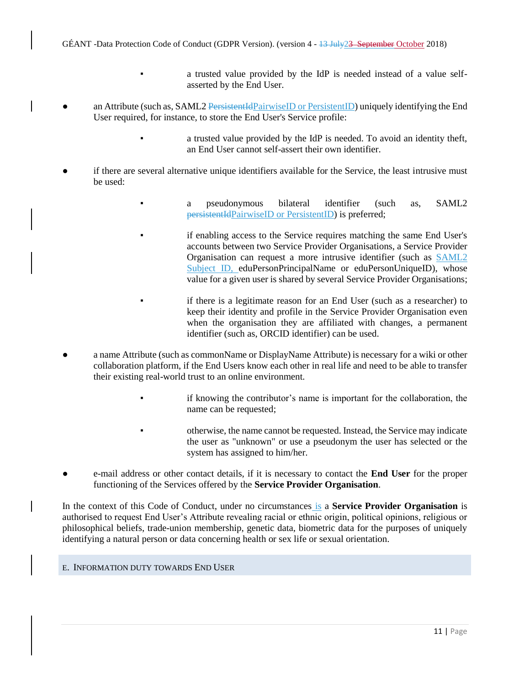- a trusted value provided by the IdP is needed instead of a value selfasserted by the End User.
- an Attribute (such as, SAML2 PersistentIdPairwiseID or PersistentID) uniquely identifying the End User required, for instance, to store the End User's Service profile:
	- a trusted value provided by the IdP is needed. To avoid an identity theft, an End User cannot self-assert their own identifier.
- if there are several alternative unique identifiers available for the Service, the least intrusive must be used:
	- a pseudonymous bilateral identifier (such as, SAML2 persistentIdPairwiseID or PersistentID) is preferred;
		- if enabling access to the Service requires matching the same End User's accounts between two Service Provider Organisations, a Service Provider Organisation can request a more intrusive identifier (such as SAML2 Subject ID, eduPersonPrincipalName or eduPersonUniqueID), whose value for a given user is shared by several Service Provider Organisations;
		- if there is a legitimate reason for an End User (such as a researcher) to keep their identity and profile in the Service Provider Organisation even when the organisation they are affiliated with changes, a permanent identifier (such as, ORCID identifier) can be used.
- a name Attribute (such as commonName or DisplayName Attribute) is necessary for a wiki or other collaboration platform, if the End Users know each other in real life and need to be able to transfer their existing real-world trust to an online environment.
	- if knowing the contributor's name is important for the collaboration, the name can be requested;
	- otherwise, the name cannot be requested. Instead, the Service may indicate the user as "unknown" or use a pseudonym the user has selected or the system has assigned to him/her.
- e-mail address or other contact details, if it is necessary to contact the **End User** for the proper functioning of the Services offered by the **Service Provider Organisation**.

In the context of this Code of Conduct, under no circumstances is a **Service Provider Organisation** is authorised to request End User's Attribute revealing racial or ethnic origin, political opinions, religious or philosophical beliefs, trade-union membership, genetic data, biometric data for the purposes of uniquely identifying a natural person or data concerning health or sex life or sexual orientation.

# <span id="page-10-0"></span>E. INFORMATION DUTY TOWARDS END USER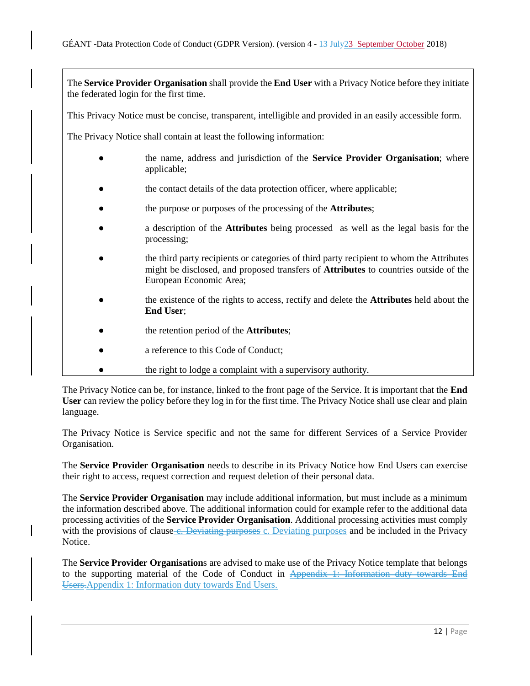The **Service Provider Organisation** shall provide the **End User** with a Privacy Notice before they initiate the federated login for the first time.

This Privacy Notice must be concise, transparent, intelligible and provided in an easily accessible form.

The Privacy Notice shall contain at least the following information:

- the name, address and jurisdiction of the **Service Provider Organisation**; where applicable;
- the contact details of the data protection officer, where applicable;
- the purpose or purposes of the processing of the **Attributes**;
- a description of the **Attributes** being processed as well as the legal basis for the processing;
- the third party recipients or categories of third party recipient to whom the Attributes might be disclosed, and proposed transfers of **Attributes** to countries outside of the European Economic Area;
- the existence of the rights to access, rectify and delete the **Attributes** held about the **End User**;
- the retention period of the **Attributes**;
- a reference to this Code of Conduct:
- the right to lodge a complaint with a supervisory authority.

The Privacy Notice can be, for instance, linked to the front page of the Service. It is important that the **End User** can review the policy before they log in for the first time. The Privacy Notice shall use clear and plain language.

The Privacy Notice is Service specific and not the same for different Services of a Service Provider Organisation.

The **Service Provider Organisation** needs to describe in its Privacy Notice how End Users can exercise their right to access, request correction and request deletion of their personal data.

The **Service Provider Organisation** may include additional information, but must include as a minimum the information described above. The additional information could for example refer to the additional data processing activities of the **Service Provider Organisation**. Additional processing activities must comply with the provisions of clause e. Deviating purposes c. Deviating purposes and be included in the Privacy Notice.

The **Service Provider Organisation**s are advised to make use of the Privacy Notice template that belongs to the supporting material of the Code of Conduct in Appendix 1: Information duty towards End Users.Appendix 1: Information duty towards End Users.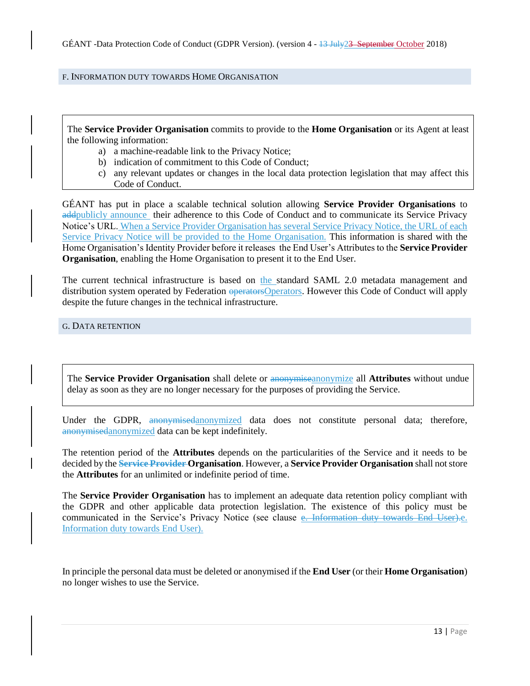#### <span id="page-12-0"></span>F. INFORMATION DUTY TOWARDS HOME ORGANISATION

The **Service Provider Organisation** commits to provide to the **Home Organisation** or its Agent at least the following information:

- a) a machine-readable link to the Privacy Notice;
- b) indication of commitment to this Code of Conduct;
- c) any relevant updates or changes in the local data protection legislation that may affect this Code of Conduct.

GÉANT has put in place a scalable technical solution allowing **Service Provider Organisations** to addpublicly announce their adherence to this Code of Conduct and to communicate its Service Privacy Notice's URL. When a Service Provider Organisation has several Service Privacy Notice, the URL of each Service Privacy Notice will be provided to the Home Organisation. This information is shared with the Home Organisation's Identity Provider before it releases the End User's Attributes to the **Service Provider Organisation**, enabling the Home Organisation to present it to the End User.

The current technical infrastructure is based on the standard SAML 2.0 metadata management and distribution system operated by Federation operators. However this Code of Conduct will apply despite the future changes in the technical infrastructure.

<span id="page-12-1"></span>G. DATA RETENTION

The **Service Provider Organisation** shall delete or anonymiseanonymize all **Attributes** without undue delay as soon as they are no longer necessary for the purposes of providing the Service.

Under the GDPR, anonymisedanonymized data does not constitute personal data; therefore, anonymisedanonymized data can be kept indefinitely.

The retention period of the **Attributes** depends on the particularities of the Service and it needs to be decided by the **Service Provider Organisation**. However, a **Service Provider Organisation** shall not store the **Attributes** for an unlimited or indefinite period of time.

The **Service Provider Organisation** has to implement an adequate data retention policy compliant with the GDPR and other applicable data protection legislation. The existence of this policy must be communicated in the Service's Privacy Notice (see clause e. Information duty towards End User).e. Information duty towards End User).

In principle the personal data must be deleted or anonymised if the **End User** (or their **Home Organisation**) no longer wishes to use the Service.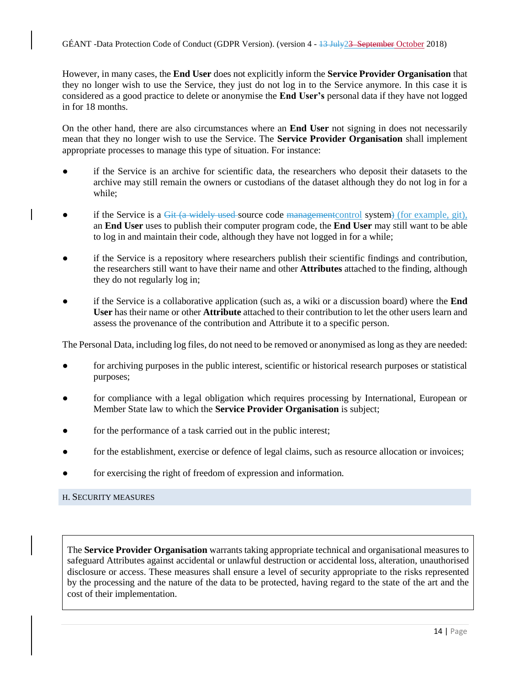However, in many cases, the **End User** does not explicitly inform the **Service Provider Organisation** that they no longer wish to use the Service, they just do not log in to the Service anymore. In this case it is considered as a good practice to delete or anonymise the **End User's** personal data if they have not logged in for 18 months.

On the other hand, there are also circumstances where an **End User** not signing in does not necessarily mean that they no longer wish to use the Service. The **Service Provider Organisation** shall implement appropriate processes to manage this type of situation. For instance:

- if the Service is an archive for scientific data, the researchers who deposit their datasets to the archive may still remain the owners or custodians of the dataset although they do not log in for a while;
- if the Service is a  $G_{\text{H}}$  (a widely used-source code management control system) (for example, git), an **End User** uses to publish their computer program code, the **End User** may still want to be able to log in and maintain their code, although they have not logged in for a while;
- if the Service is a repository where researchers publish their scientific findings and contribution, the researchers still want to have their name and other **Attributes** attached to the finding, although they do not regularly log in;
- if the Service is a collaborative application (such as, a wiki or a discussion board) where the **End User** has their name or other **Attribute** attached to their contribution to let the other users learn and assess the provenance of the contribution and Attribute it to a specific person.

The Personal Data, including log files, do not need to be removed or anonymised as long as they are needed:

- for archiving purposes in the public interest, scientific or historical research purposes or statistical purposes;
- for compliance with a legal obligation which requires processing by International, European or Member State law to which the **Service Provider Organisation** is subject;
- for the performance of a task carried out in the public interest;
- for the establishment, exercise or defence of legal claims, such as resource allocation or invoices;
- for exercising the right of freedom of expression and information.

#### <span id="page-13-0"></span>H. SECURITY MEASURES

The **Service Provider Organisation** warrants taking appropriate technical and organisational measures to safeguard Attributes against accidental or unlawful destruction or accidental loss, alteration, unauthorised disclosure or access. These measures shall ensure a level of security appropriate to the risks represented by the processing and the nature of the data to be protected, having regard to the state of the art and the cost of their implementation.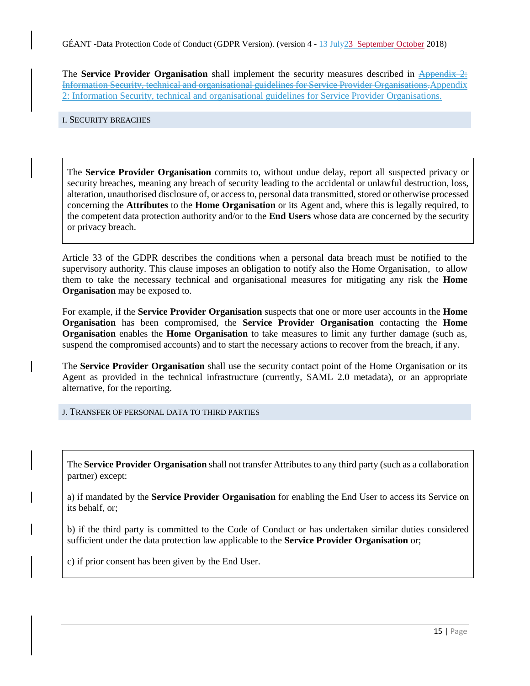The **Service Provider Organisation** shall implement the security measures described in Appendix 2: Information Security, technical and organisational guidelines for Service Provider Organisations.Appendix 2: Information Security, technical and organisational guidelines for Service Provider Organisations.

<span id="page-14-0"></span>I. SECURITY BREACHES

The **Service Provider Organisation** commits to, without undue delay, report all suspected privacy or security breaches, meaning any breach of security leading to the accidental or unlawful destruction, loss, alteration, unauthorised disclosure of, or access to, personal data transmitted, stored or otherwise processed concerning the **Attributes** to the **Home Organisation** or its Agent and, where this is legally required, to the competent data protection authority and/or to the **End Users** whose data are concerned by the security or privacy breach.

Article 33 of the GDPR describes the conditions when a personal data breach must be notified to the supervisory authority. This clause imposes an obligation to notify also the Home Organisation, to allow them to take the necessary technical and organisational measures for mitigating any risk the **Home Organisation** may be exposed to.

For example, if the **Service Provider Organisation** suspects that one or more user accounts in the **Home Organisation** has been compromised, the **Service Provider Organisation** contacting the **Home Organisation** enables the **Home Organisation** to take measures to limit any further damage (such as, suspend the compromised accounts) and to start the necessary actions to recover from the breach, if any.

The **Service Provider Organisation** shall use the security contact point of the Home Organisation or its Agent as provided in the technical infrastructure (currently, SAML 2.0 metadata), or an appropriate alternative, for the reporting.

<span id="page-14-1"></span>J. TRANSFER OF PERSONAL DATA TO THIRD PARTIES

The **Service Provider Organisation** shall not transfer Attributes to any third party (such as a collaboration partner) except:

a) if mandated by the **Service Provider Organisation** for enabling the End User to access its Service on its behalf, or;

b) if the third party is committed to the Code of Conduct or has undertaken similar duties considered sufficient under the data protection law applicable to the **Service Provider Organisation** or;

c) if prior consent has been given by the End User.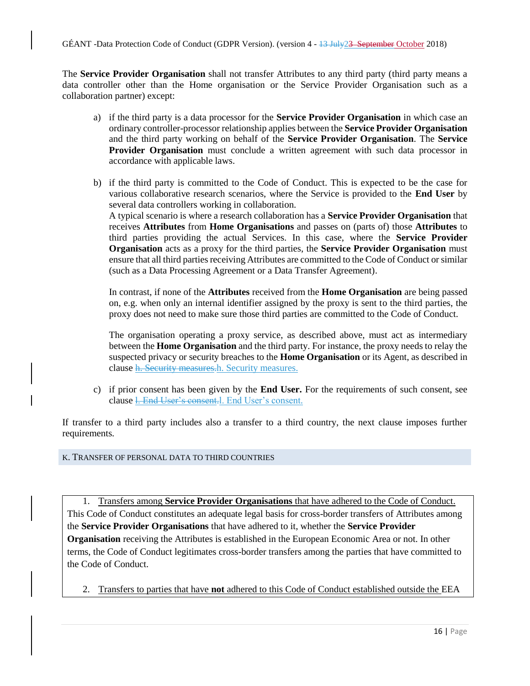The **Service Provider Organisation** shall not transfer Attributes to any third party (third party means a data controller other than the Home organisation or the Service Provider Organisation such as a collaboration partner) except:

- a) if the third party is a data processor for the **Service Provider Organisation** in which case an ordinary controller-processor relationship applies between the **Service Provider Organisation** and the third party working on behalf of the **Service Provider Organisation**. The **Service Provider Organisation** must conclude a written agreement with such data processor in accordance with applicable laws.
- b) if the third party is committed to the Code of Conduct. This is expected to be the case for various collaborative research scenarios, where the Service is provided to the **End User** by several data controllers working in collaboration. A typical scenario is where a research collaboration has a **Service Provider Organisation** that receives **Attributes** from **Home Organisations** and passes on (parts of) those **Attributes** to third parties providing the actual Services. In this case, where the **Service Provider Organisation** acts as a proxy for the third parties, the **Service Provider Organisation** must ensure that all third parties receiving Attributes are committed to the Code of Conduct or similar (such as a Data Processing Agreement or a Data Transfer Agreement).

In contrast, if none of the **Attributes** received from the **Home Organisation** are being passed on, e.g. when only an internal identifier assigned by the proxy is sent to the third parties, the proxy does not need to make sure those third parties are committed to the Code of Conduct.

The organisation operating a proxy service, as described above, must act as intermediary between the **Home Organisation** and the third party. For instance, the proxy needs to relay the suspected privacy or security breaches to the **Home Organisation** or its Agent, as described in clause h. Security measures.h. Security measures.

c) if prior consent has been given by the **End User.** For the requirements of such consent, see clause l. End User's consent.l. End User's consent.

If transfer to a third party includes also a transfer to a third country, the next clause imposes further requirements.

<span id="page-15-0"></span>K. TRANSFER OF PERSONAL DATA TO THIRD COUNTRIES

1. Transfers among **Service Provider Organisations** that have adhered to the Code of Conduct. This Code of Conduct constitutes an adequate legal basis for cross-border transfers of Attributes among the **Service Provider Organisations** that have adhered to it, whether the **Service Provider Organisation** receiving the Attributes is established in the European Economic Area or not. In other terms, the Code of Conduct legitimates cross-border transfers among the parties that have committed to the Code of Conduct.

2. Transfers to parties that have **not** adhered to this Code of Conduct established outside the EEA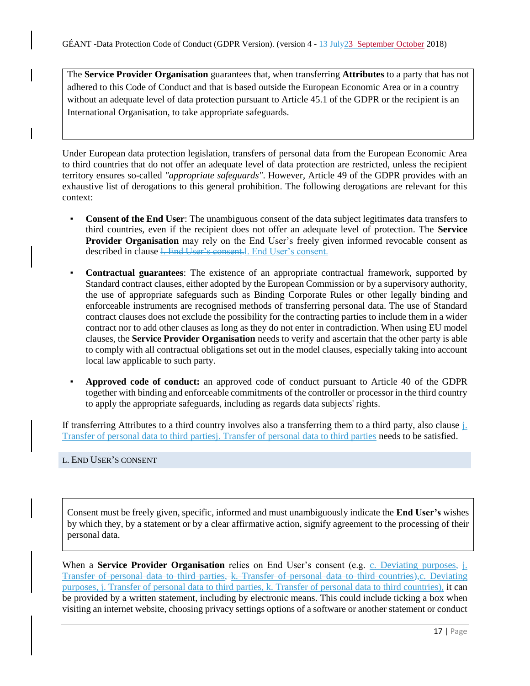The **Service Provider Organisation** guarantees that, when transferring **Attributes** to a party that has not adhered to this Code of Conduct and that is based outside the European Economic Area or in a country without an adequate level of data protection pursuant to Article 45.1 of the GDPR or the recipient is an International Organisation, to take appropriate safeguards.

Under European data protection legislation, transfers of personal data from the European Economic Area to third countries that do not offer an adequate level of data protection are restricted, unless the recipient territory ensures so-called *"appropriate safeguards"*. However, Article 49 of the GDPR provides with an exhaustive list of derogations to this general prohibition. The following derogations are relevant for this context:

- **Consent of the End User:** The unambiguous consent of the data subject legitimates data transfers to third countries, even if the recipient does not offer an adequate level of protection. The **Service Provider Organisation** may rely on the End User's freely given informed revocable consent as described in clause 1. End User's consent. End User's consent.
- **Contractual guarantees**: The existence of an appropriate contractual framework, supported by Standard contract clauses, either adopted by the European Commission or by a supervisory authority, the use of appropriate safeguards such as Binding Corporate Rules or other legally binding and enforceable instruments are recognised methods of transferring personal data. The use of Standard contract clauses does not exclude the possibility for the contracting parties to include them in a wider contract nor to add other clauses as long as they do not enter in contradiction. When using EU model clauses, the **Service Provider Organisation** needs to verify and ascertain that the other party is able to comply with all contractual obligations set out in the model clauses, especially taking into account local law applicable to such party.
- **Approved code of conduct:** an approved code of conduct pursuant to Article 40 of the GDPR together with binding and enforceable commitments of the controller or processor in the third country to apply the appropriate safeguards, including as regards data subjects' rights.

If transferring Attributes to a third country involves also a transferring them to a third party, also clause  $\frac{1}{10}$ . Transfer of personal data to third partiesj. Transfer of personal data to third parties needs to be satisfied.

# <span id="page-16-0"></span>L. END USER'S CONSENT

Consent must be freely given, specific, informed and must unambiguously indicate the **End User's** wishes by which they, by a statement or by a clear affirmative action, signify agreement to the processing of their personal data.

When a **Service Provider Organisation** relies on End User's consent (e.g. C. Deviating purposes, i. Transfer of personal data to third parties, k. Transfer of personal data to third countries),c. Deviating purposes, j. Transfer of personal data to third parties, k. Transfer of personal data to third countries), it can be provided by a written statement, including by electronic means. This could include ticking a box when visiting an internet website, choosing privacy settings options of a software or another statement or conduct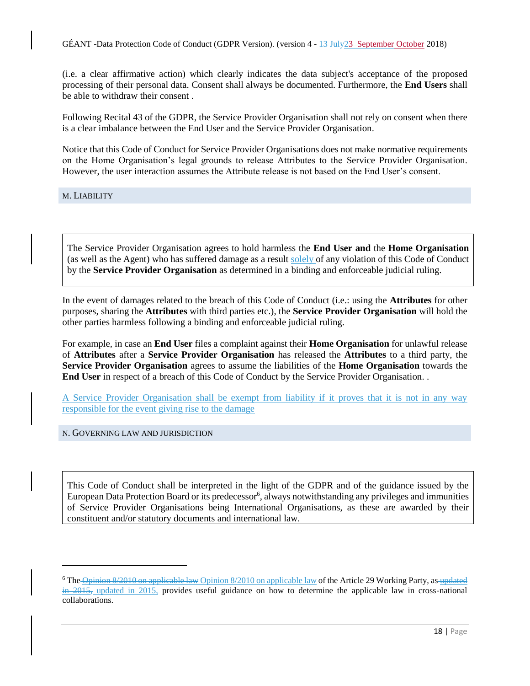(i.e. a clear affirmative action) which clearly indicates the data subject's acceptance of the proposed processing of their personal data. Consent shall always be documented. Furthermore, the **End Users** shall be able to withdraw their consent .

Following Recital 43 of the GDPR, the Service Provider Organisation shall not rely on consent when there is a clear imbalance between the End User and the Service Provider Organisation.

Notice that this Code of Conduct for Service Provider Organisations does not make normative requirements on the Home Organisation's legal grounds to release Attributes to the Service Provider Organisation. However, the user interaction assumes the Attribute release is not based on the End User's consent.

<span id="page-17-0"></span>M. LIABILITY

 $\overline{a}$ 

The Service Provider Organisation agrees to hold harmless the **End User and** the **Home Organisation** (as well as the Agent) who has suffered damage as a result solely of any violation of this Code of Conduct by the **Service Provider Organisation** as determined in a binding and enforceable judicial ruling.

In the event of damages related to the breach of this Code of Conduct (i.e.: using the **Attributes** for other purposes, sharing the **Attributes** with third parties etc.), the **Service Provider Organisation** will hold the other parties harmless following a binding and enforceable judicial ruling.

For example, in case an **End User** files a complaint against their **Home Organisation** for unlawful release of **Attributes** after a **Service Provider Organisation** has released the **Attributes** to a third party, the **Service Provider Organisation** agrees to assume the liabilities of the **Home Organisation** towards the **End User** in respect of a breach of this Code of Conduct by the Service Provider Organisation. .

A Service Provider Organisation shall be exempt from liability if it proves that it is not in any way responsible for the event giving rise to the damage

<span id="page-17-1"></span>N. GOVERNING LAW AND JURISDICTION

This Code of Conduct shall be interpreted in the light of the GDPR and of the guidance issued by the European Data Protection Board or its predecessor<sup>6</sup>, always notwithstanding any privileges and immunities of Service Provider Organisations being International Organisations, as these are awarded by their constituent and/or statutory documents and international law.

<sup>&</sup>lt;sup>6</sup> The Opinion 8/2010 on applicable law Opinion 8/2010 on applicable law of the Article 29 Working Party, as updated  $\frac{\partial^2 u}{\partial t^2}$  in 2015, provides useful guidance on how to determine the applicable law in cross-national collaborations.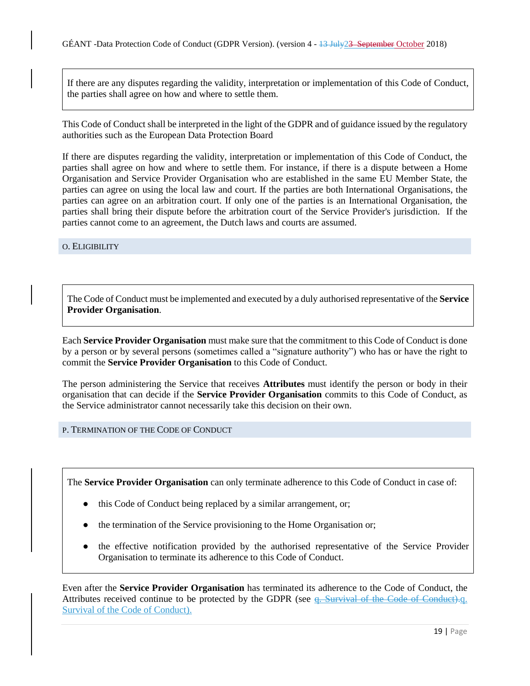If there are any disputes regarding the validity, interpretation or implementation of this Code of Conduct, the parties shall agree on how and where to settle them.

This Code of Conduct shall be interpreted in the light of the GDPR and of guidance issued by the regulatory authorities such as the European Data Protection Board

If there are disputes regarding the validity, interpretation or implementation of this Code of Conduct, the parties shall agree on how and where to settle them. For instance, if there is a dispute between a Home Organisation and Service Provider Organisation who are established in the same EU Member State, the parties can agree on using the local law and court. If the parties are both International Organisations, the parties can agree on an arbitration court. If only one of the parties is an International Organisation, the parties shall bring their dispute before the arbitration court of the Service Provider's jurisdiction. If the parties cannot come to an agreement, the Dutch laws and courts are assumed.

<span id="page-18-0"></span>O. ELIGIBILITY

The Code of Conduct must be implemented and executed by a duly authorised representative of the **Service Provider Organisation**.

Each **Service Provider Organisation** must make sure that the commitment to this Code of Conduct is done by a person or by several persons (sometimes called a "signature authority") who has or have the right to commit the **Service Provider Organisation** to this Code of Conduct.

The person administering the Service that receives **Attributes** must identify the person or body in their organisation that can decide if the **Service Provider Organisation** commits to this Code of Conduct, as the Service administrator cannot necessarily take this decision on their own.

<span id="page-18-1"></span>P. TERMINATION OF THE CODE OF CONDUCT

The **Service Provider Organisation** can only terminate adherence to this Code of Conduct in case of:

- this Code of Conduct being replaced by a similar arrangement, or;
- the termination of the Service provisioning to the Home Organisation or;
- the effective notification provided by the authorised representative of the Service Provider Organisation to terminate its adherence to this Code of Conduct.

Even after the **Service Provider Organisation** has terminated its adherence to the Code of Conduct, the Attributes received continue to be protected by the GDPR (see q. Survival of the Code of Conduct).q. Survival of the Code of Conduct).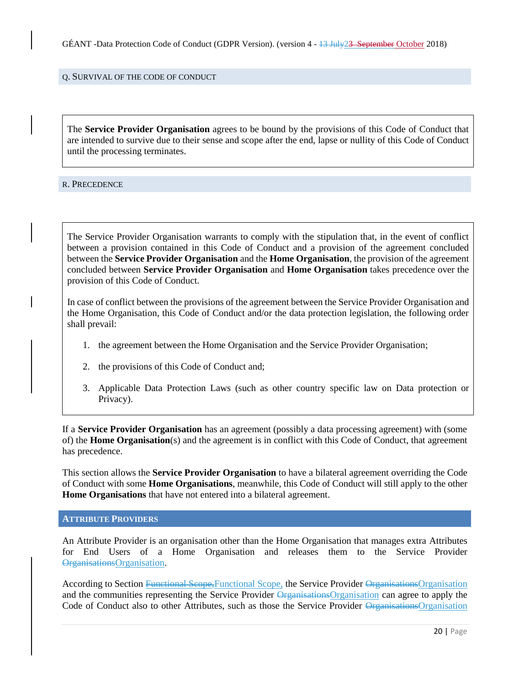<span id="page-19-0"></span>Q. SURVIVAL OF THE CODE OF CONDUCT

The **Service Provider Organisation** agrees to be bound by the provisions of this Code of Conduct that are intended to survive due to their sense and scope after the end, lapse or nullity of this Code of Conduct until the processing terminates.

<span id="page-19-1"></span>R. PRECEDENCE

The Service Provider Organisation warrants to comply with the stipulation that, in the event of conflict between a provision contained in this Code of Conduct and a provision of the agreement concluded between the **Service Provider Organisation** and the **Home Organisation**, the provision of the agreement concluded between **Service Provider Organisation** and **Home Organisation** takes precedence over the provision of this Code of Conduct.

In case of conflict between the provisions of the agreement between the Service Provider Organisation and the Home Organisation, this Code of Conduct and/or the data protection legislation, the following order shall prevail:

- 1. the agreement between the Home Organisation and the Service Provider Organisation;
- 2. the provisions of this Code of Conduct and;
- 3. Applicable Data Protection Laws (such as other country specific law on Data protection or Privacy).

If a **Service Provider Organisation** has an agreement (possibly a data processing agreement) with (some of) the **Home Organisation**(s) and the agreement is in conflict with this Code of Conduct, that agreement has precedence.

This section allows the **Service Provider Organisation** to have a bilateral agreement overriding the Code of Conduct with some **Home Organisations**, meanwhile, this Code of Conduct will still apply to the other **Home Organisations** that have not entered into a bilateral agreement.

#### <span id="page-19-2"></span>**ATTRIBUTE PROVIDERS**

An Attribute Provider is an organisation other than the Home Organisation that manages extra Attributes for End Users of a Home Organisation and releases them to the Service Provider OrganisationsOrganisation.

According to Section Functional Scope,Functional Scope, the Service Provider OrganisationsOrganisation and the communities representing the Service Provider Organisations Organisation can agree to apply the Code of Conduct also to other Attributes, such as those the Service Provider OrganisationsOrganisation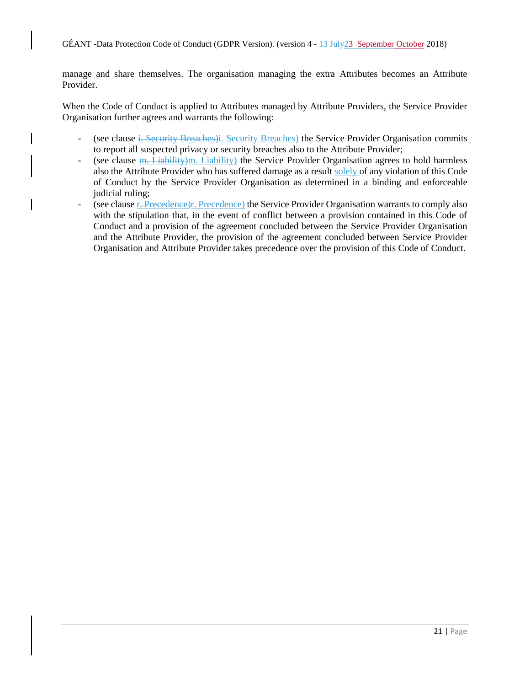manage and share themselves. The organisation managing the extra Attributes becomes an Attribute Provider.

When the Code of Conduct is applied to Attributes managed by Attribute Providers, the Service Provider Organisation further agrees and warrants the following:

- (see clause i. Security Breaches)i. Security Breaches) the Service Provider Organisation commits to report all suspected privacy or security breaches also to the Attribute Provider;
- (see clause  $\frac{m}{n}$ . Liability)m. Liability) the Service Provider Organisation agrees to hold harmless also the Attribute Provider who has suffered damage as a result solely of any violation of this Code of Conduct by the Service Provider Organisation as determined in a binding and enforceable judicial ruling;
- (see clause F. Precedence)r. Precedence) the Service Provider Organisation warrants to comply also with the stipulation that, in the event of conflict between a provision contained in this Code of Conduct and a provision of the agreement concluded between the Service Provider Organisation and the Attribute Provider, the provision of the agreement concluded between Service Provider Organisation and Attribute Provider takes precedence over the provision of this Code of Conduct.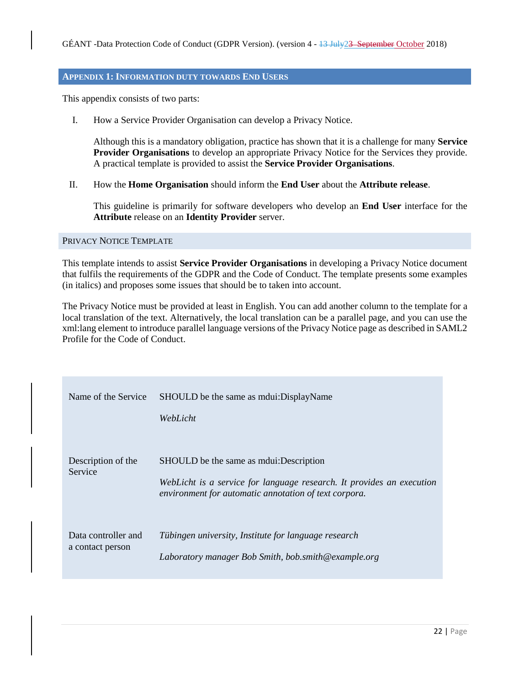#### <span id="page-21-0"></span>**APPENDIX 1: INFORMATION DUTY TOWARDS END USERS**

This appendix consists of two parts:

I. How a Service Provider Organisation can develop a Privacy Notice.

Although this is a mandatory obligation, practice has shown that it is a challenge for many **Service Provider Organisations** to develop an appropriate Privacy Notice for the Services they provide. A practical template is provided to assist the **Service Provider Organisations**.

II. How the **Home Organisation** should inform the **End User** about the **Attribute release**.

This guideline is primarily for software developers who develop an **End User** interface for the **Attribute** release on an **Identity Provider** server.

#### <span id="page-21-1"></span>PRIVACY NOTICE TEMPLATE

This template intends to assist **Service Provider Organisations** in developing a Privacy Notice document that fulfils the requirements of the GDPR and the Code of Conduct. The template presents some examples (in italics) and proposes some issues that should be to taken into account.

The Privacy Notice must be provided at least in English. You can add another column to the template for a local translation of the text. Alternatively, the local translation can be a parallel page, and you can use the xml:lang element to introduce parallel language versions of the Privacy Notice page as described in SAML2 Profile for the Code of Conduct.

| Name of the Service                     | SHOULD be the same as mounter DisplayName<br>WebLicht                                                                                                                        |
|-----------------------------------------|------------------------------------------------------------------------------------------------------------------------------------------------------------------------------|
| Description of the<br>Service           | SHOULD be the same as moulest: Description<br>WebLicht is a service for language research. It provides an execution<br>environment for automatic annotation of text corpora. |
| Data controller and<br>a contact person | Tübingen university, Institute for language research<br>Laboratory manager Bob Smith, bob.smith@example.org                                                                  |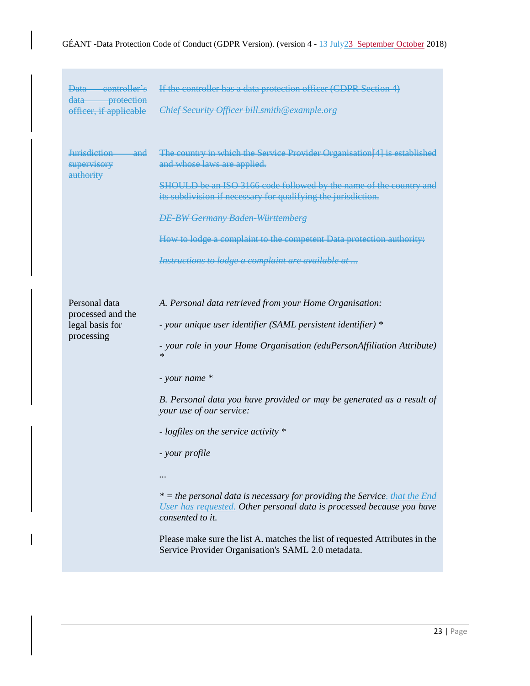# GÉANT -Data Protection Code of Conduct (GDPR Version). (version 4 - 13 July 23 September October 2018)

| Data controller's<br>data protection<br>officer, if applicable      | If the controller has a data protection officer (GDPR Section 4)<br>Chief Security Officer bill.smith@example.org                                                                                                                                                                                                                                                                                                                                                                                                                                                                                                                                                                                           |
|---------------------------------------------------------------------|-------------------------------------------------------------------------------------------------------------------------------------------------------------------------------------------------------------------------------------------------------------------------------------------------------------------------------------------------------------------------------------------------------------------------------------------------------------------------------------------------------------------------------------------------------------------------------------------------------------------------------------------------------------------------------------------------------------|
| Jurisdiction<br><del>and</del><br>supervisory<br>authority          | The country in which the Service Provider Organisation <sup>[4]</sup> is established<br>and whose laws are applied.<br>SHOULD be an ISO 3166 code followed by the name of the country and<br>its subdivision if necessary for qualifying the jurisdiction.<br><b>DE-BW Germany Baden-Württemberg</b><br>How to lodge a complaint to the competent Data protection authority:<br>Instructions to lodge a complaint are available at                                                                                                                                                                                                                                                                          |
| Personal data<br>processed and the<br>legal basis for<br>processing | A. Personal data retrieved from your Home Organisation:<br>- your unique user identifier (SAML persistent identifier) *<br>- your role in your Home Organisation (eduPersonAffiliation Attribute)<br>$\ast$<br>- your name *<br>B. Personal data you have provided or may be generated as a result of<br>your use of our service:<br>- logfiles on the service activity *<br>- your profile<br>* = the personal data is necessary for providing the Service-that the End<br>User has requested. Other personal data is processed because you have<br>consented to it.<br>Please make sure the list A. matches the list of requested Attributes in the<br>Service Provider Organisation's SAML 2.0 metadata. |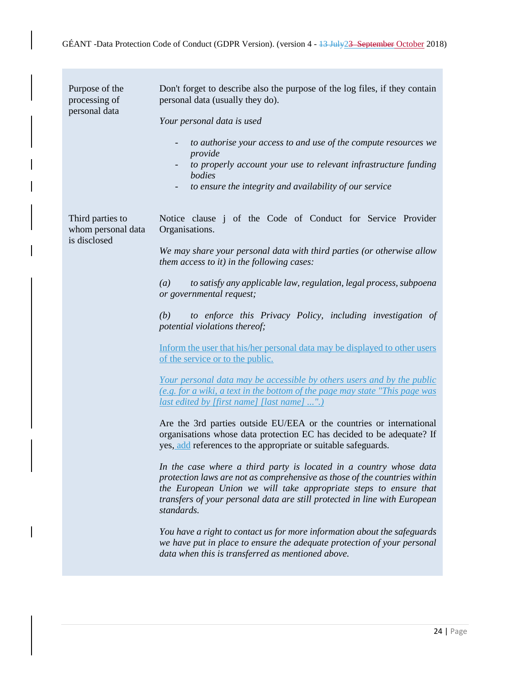| Purpose of the<br>processing of<br>personal data       | Don't forget to describe also the purpose of the log files, if they contain<br>personal data (usually they do).<br>Your personal data is used<br>to authorise your access to and use of the compute resources we<br>$\overline{\phantom{a}}$<br>provide<br>to properly account your use to relevant infrastructure funding<br>bodies<br>to ensure the integrity and availability of our service                                                                                                                                                                                                                                                                                                                                                                                                                                                                                                                                                                                                                                                                                                                                                                                                                                                                                                                                                                                                                                                                                                               |
|--------------------------------------------------------|---------------------------------------------------------------------------------------------------------------------------------------------------------------------------------------------------------------------------------------------------------------------------------------------------------------------------------------------------------------------------------------------------------------------------------------------------------------------------------------------------------------------------------------------------------------------------------------------------------------------------------------------------------------------------------------------------------------------------------------------------------------------------------------------------------------------------------------------------------------------------------------------------------------------------------------------------------------------------------------------------------------------------------------------------------------------------------------------------------------------------------------------------------------------------------------------------------------------------------------------------------------------------------------------------------------------------------------------------------------------------------------------------------------------------------------------------------------------------------------------------------------|
| Third parties to<br>whom personal data<br>is disclosed | Notice clause j of the Code of Conduct for Service Provider<br>Organisations.<br>We may share your personal data with third parties (or otherwise allow<br>them access to it) in the following cases:<br>to satisfy any applicable law, regulation, legal process, subpoena<br>(a)<br>or governmental request;<br>to enforce this Privacy Policy, including investigation of<br>(b)<br>potential violations thereof;<br>Inform the user that his/her personal data may be displayed to other users<br>of the service or to the public.<br><u>Your personal data may be accessible by others users and by the public</u><br>(e.g. for a wiki, a text in the bottom of the page may state "This page was<br><i>last edited by [first name] [last name] ".)</i><br>Are the 3rd parties outside EU/EEA or the countries or international<br>organisations whose data protection EC has decided to be adequate? If<br>yes, add references to the appropriate or suitable safeguards.<br>In the case where a third party is located in a country whose data<br>protection laws are not as comprehensive as those of the countries within<br>the European Union we will take appropriate steps to ensure that<br>transfers of your personal data are still protected in line with European<br>standards.<br>You have a right to contact us for more information about the safeguards<br>we have put in place to ensure the adequate protection of your personal<br>data when this is transferred as mentioned above. |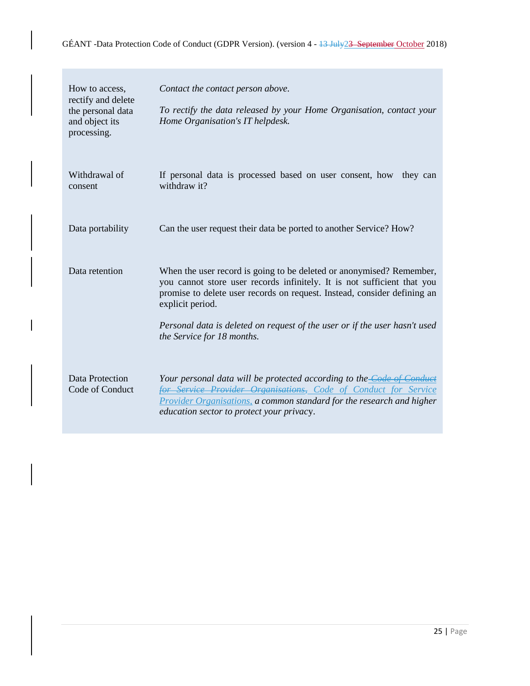| How to access,<br>rectify and delete<br>the personal data<br>and object its<br>processing. | Contact the contact person above.<br>To rectify the data released by your Home Organisation, contact your<br>Home Organisation's IT helpdesk.                                                                                                                                                                                                               |
|--------------------------------------------------------------------------------------------|-------------------------------------------------------------------------------------------------------------------------------------------------------------------------------------------------------------------------------------------------------------------------------------------------------------------------------------------------------------|
| Withdrawal of<br>consent                                                                   | If personal data is processed based on user consent, how<br>they can<br>withdraw it?                                                                                                                                                                                                                                                                        |
| Data portability                                                                           | Can the user request their data be ported to another Service? How?                                                                                                                                                                                                                                                                                          |
| Data retention                                                                             | When the user record is going to be deleted or anonymised? Remember,<br>you cannot store user records infinitely. It is not sufficient that you<br>promise to delete user records on request. Instead, consider defining an<br>explicit period.<br>Personal data is deleted on request of the user or if the user hasn't used<br>the Service for 18 months. |
| Data Protection<br>Code of Conduct                                                         | Your personal data will be protected according to the <b>Code of Conduct</b><br>for Service Provider Organisations, Code of Conduct for Service<br>Provider Organisations, a common standard for the research and higher<br>education sector to protect your privacy.                                                                                       |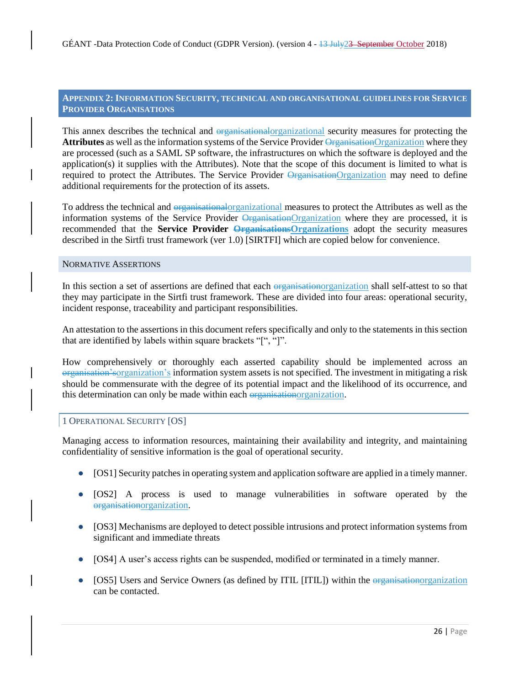#### <span id="page-25-0"></span>**APPENDIX 2:INFORMATION SECURITY, TECHNICAL AND ORGANISATIONAL GUIDELINES FOR SERVICE PROVIDER ORGANISATIONS**

This annex describes the technical and organizational organizational security measures for protecting the **Attributes** as well as the information systems of the Service Provider OrganisationOrganization where they are processed (such as a SAML SP software, the infrastructures on which the software is deployed and the application(s) it supplies with the Attributes). Note that the scope of this document is limited to what is required to protect the Attributes. The Service Provider OrganizationOrganization may need to define additional requirements for the protection of its assets.

To address the technical and organisationalorganizational measures to protect the Attributes as well as the information systems of the Service Provider OrganizationOrganization where they are processed, it is recommended that the **Service Provider Organizations** Organizations adopt the security measures described in the Sirtfi trust framework (ver 1.0) [SIRTFI] which are copied below for convenience.

#### <span id="page-25-1"></span>NORMATIVE ASSERTIONS

In this section a set of assertions are defined that each organizationorganization shall self-attest to so that they may participate in the Sirtfi trust framework. These are divided into four areas: operational security, incident response, traceability and participant responsibilities.

An attestation to the assertions in this document refers specifically and only to the statements in this section that are identified by labels within square brackets "[", "]".

How comprehensively or thoroughly each asserted capability should be implemented across an organisation'sorganization's information system assets is not specified. The investment in mitigating a risk should be commensurate with the degree of its potential impact and the likelihood of its occurrence, and this determination can only be made within each organisationorganization.

#### <span id="page-25-2"></span>1 OPERATIONAL SECURITY [OS]

Managing access to information resources, maintaining their availability and integrity, and maintaining confidentiality of sensitive information is the goal of operational security.

- [OS1] Security patches in operating system and application software are applied in a timely manner.
- [OS2] A process is used to manage vulnerabilities in software operated by the organisationorganization.
- [OS3] Mechanisms are deployed to detect possible intrusions and protect information systems from significant and immediate threats
- [OS4] A user's access rights can be suspended, modified or terminated in a timely manner.
- [OS5] Users and Service Owners (as defined by ITIL [ITIL]) within the organizationorganization can be contacted.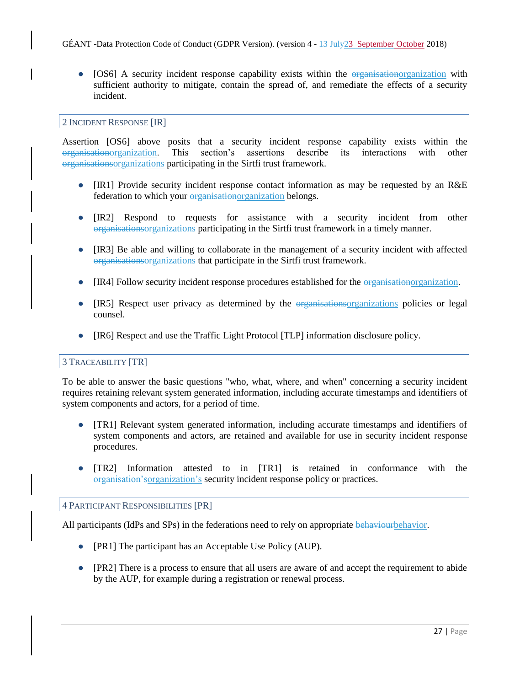• [OS6] A security incident response capability exists within the organizationorganization with sufficient authority to mitigate, contain the spread of, and remediate the effects of a security incident.

# <span id="page-26-0"></span>2 INCIDENT RESPONSE [IR]

Assertion [OS6] above posits that a security incident response capability exists within the organisationorganization. This section's assertions describe its interactions with other organisationsorganizations participating in the Sirtfi trust framework.

- [IR1] Provide security incident response contact information as may be requested by an R&E federation to which your organizationorganization belongs.
- [IR2] Respond to requests for assistance with a security incident from other organisationsorganizations participating in the Sirtfi trust framework in a timely manner.
- [IR3] Be able and willing to collaborate in the management of a security incident with affected organisationsorganizations that participate in the Sirtfi trust framework.
- [IR4] Follow security incident response procedures established for the organizationorganization.
- [IR5] Respect user privacy as determined by the organizationsorganizations policies or legal counsel.
- [IR6] Respect and use the Traffic Light Protocol [TLP] information disclosure policy.

# <span id="page-26-1"></span>3 TRACEABILITY [TR]

To be able to answer the basic questions "who, what, where, and when" concerning a security incident requires retaining relevant system generated information, including accurate timestamps and identifiers of system components and actors, for a period of time.

- [TR1] Relevant system generated information, including accurate timestamps and identifiers of system components and actors, are retained and available for use in security incident response procedures.
- [TR2] Information attested to in [TR1] is retained in conformance with the organisation'sorganization's security incident response policy or practices.

## <span id="page-26-2"></span>4 PARTICIPANT RESPONSIBILITIES [PR]

All participants (IdPs and SPs) in the federations need to rely on appropriate behaviour behavior.

- [PR1] The participant has an Acceptable Use Policy (AUP).
- [PR2] There is a process to ensure that all users are aware of and accept the requirement to abide by the AUP, for example during a registration or renewal process.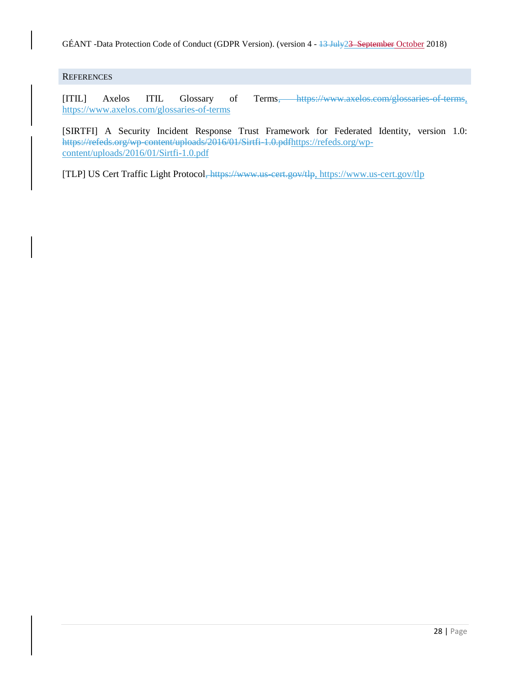GÉANT -Data Protection Code of Conduct (GDPR Version). (version 4 - 13 July23 September October 2018)

# <span id="page-27-0"></span>**REFERENCES**

[ITIL] Axelos ITIL Glossary of Terms, https://www.axelos.com/glossaries-of-terms, https://www.axelos.com/glossaries-of-terms

[SIRTFI] A Security Incident Response Trust Framework for Federated Identity, version 1.0: https://refeds.org/wp-content/uploads/2016/01/Sirtfi-1.0.pdfhttps://refeds.org/wpcontent/uploads/2016/01/Sirtfi-1.0.pdf

[TLP] US Cert Traffic Light Protocol, https://www.us-cert.gov/tlp, https://www.us-cert.gov/tlp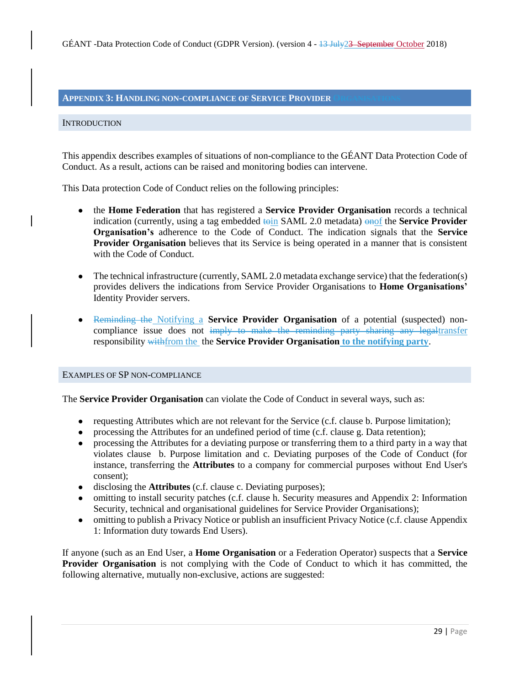## <span id="page-28-0"></span>**APPENDIX 3: HANDLING NON-COMPLIANCE OF <b>SERVICE PROVIDER**

#### <span id="page-28-1"></span>**INTRODUCTION**

This appendix describes examples of situations of non-compliance to the GÉANT Data Protection Code of Conduct. As a result, actions can be raised and monitoring bodies can intervene.

This Data protection Code of Conduct relies on the following principles:

- the **Home Federation** that has registered a **Service Provider Organisation** records a technical indication (currently, using a tag embedded toin SAML 2.0 metadata) onof the **Service Provider Organisation's** adherence to the Code of Conduct. The indication signals that the **Service Provider Organisation** believes that its Service is being operated in a manner that is consistent with the Code of Conduct.
- The technical infrastructure (currently, SAML 2.0 metadata exchange service) that the federation(s) provides delivers the indications from Service Provider Organisations to **Home Organisations'** Identity Provider servers.
- Reminding the Notifying a **Service Provider Organisation** of a potential (suspected) noncompliance issue does not imply to make the reminding party sharing any legaltransfer responsibility withfrom the the **Service Provider Organisation to the notifying party**.

#### <span id="page-28-2"></span>EXAMPLES OF SP NON-COMPLIANCE

The **Service Provider Organisation** can violate the Code of Conduct in several ways, such as:

- requesting Attributes which are not relevant for the Service (c.f. clause b. Purpose limitation);
- processing the Attributes for an undefined period of time (c.f. clause g. Data retention);
- processing the Attributes for a deviating purpose or transferring them to a third party in a way that violates clause b. Purpose limitation and c. Deviating purposes of the Code of Conduct (for instance, transferring the **Attributes** to a company for commercial purposes without End User's consent);
- disclosing the **Attributes** (c.f. clause c. Deviating purposes);
- omitting to install security patches (c.f. clause h. Security measures and Appendix 2: Information Security, technical and organisational guidelines for Service Provider Organisations);
- omitting to publish a Privacy Notice or publish an insufficient Privacy Notice (c.f. clause Appendix 1: Information duty towards End Users).

If anyone (such as an End User, a **Home Organisation** or a Federation Operator) suspects that a **Service Provider Organisation** is not complying with the Code of Conduct to which it has committed, the following alternative, mutually non-exclusive, actions are suggested: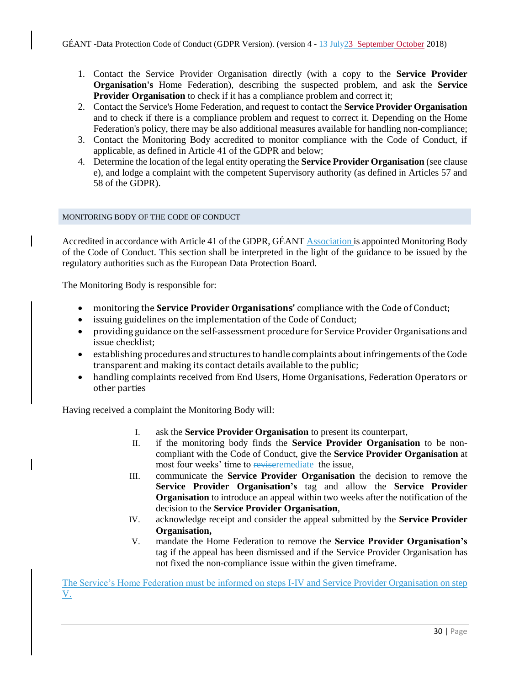- 1. Contact the Service Provider Organisation directly (with a copy to the **Service Provider Organisation's** Home Federation), describing the suspected problem, and ask the **Service Provider Organisation** to check if it has a compliance problem and correct it;
- 2. Contact the Service's Home Federation, and request to contact the **Service Provider Organisation** and to check if there is a compliance problem and request to correct it. Depending on the Home Federation's policy, there may be also additional measures available for handling non-compliance;
- 3. Contact the Monitoring Body accredited to monitor compliance with the Code of Conduct, if applicable, as defined in Article 41 of the GDPR and below;
- 4. Determine the location of the legal entity operating the **Service Provider Organisation** (see clause e), and lodge a complaint with the competent Supervisory authority (as defined in Articles 57 and 58 of the GDPR).

# <span id="page-29-0"></span>MONITORING BODY OF THE CODE OF CONDUCT

Accredited in accordance with Article 41 of the GDPR, GÉANT Association is appointed Monitoring Body of the Code of Conduct. This section shall be interpreted in the light of the guidance to be issued by the regulatory authorities such as the European Data Protection Board.

The Monitoring Body is responsible for:

- monitoring the **Service Provider Organisations'** compliance with the Code of Conduct;
- issuing guidelines on the implementation of the Code of Conduct;
- providing guidance on the self-assessment procedure for Service Provider Organisations and issue checklist;
- establishing procedures and structures to handle complaints about infringements of the Code transparent and making its contact details available to the public;
- handling complaints received from End Users, Home Organisations, Federation Operators or other parties

Having received a complaint the Monitoring Body will:

- I. ask the **Service Provider Organisation** to present its counterpart,
- II. if the monitoring body finds the **Service Provider Organisation** to be noncompliant with the Code of Conduct, give the **Service Provider Organisation** at most four weeks' time to reviseremediate the issue,
- III. communicate the **Service Provider Organisation** the decision to remove the **Service Provider Organisation's** tag and allow the **Service Provider Organisation** to introduce an appeal within two weeks after the notification of the decision to the **Service Provider Organisation**,
- IV. acknowledge receipt and consider the appeal submitted by the **Service Provider Organisation,**
- V. mandate the Home Federation to remove the **Service Provider Organisation's** tag if the appeal has been dismissed and if the Service Provider Organisation has not fixed the non-compliance issue within the given timeframe.

The Service's Home Federation must be informed on steps I-IV and Service Provider Organisation on step V.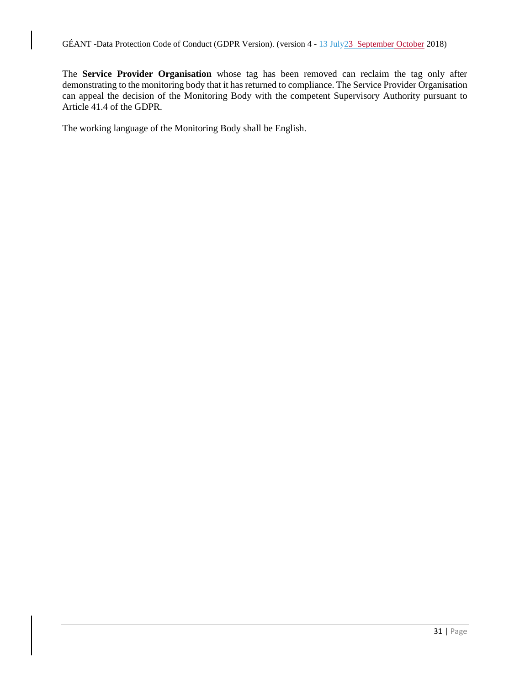The **Service Provider Organisation** whose tag has been removed can reclaim the tag only after demonstrating to the monitoring body that it has returned to compliance. The Service Provider Organisation can appeal the decision of the Monitoring Body with the competent Supervisory Authority pursuant to Article 41.4 of the GDPR.

The working language of the Monitoring Body shall be English.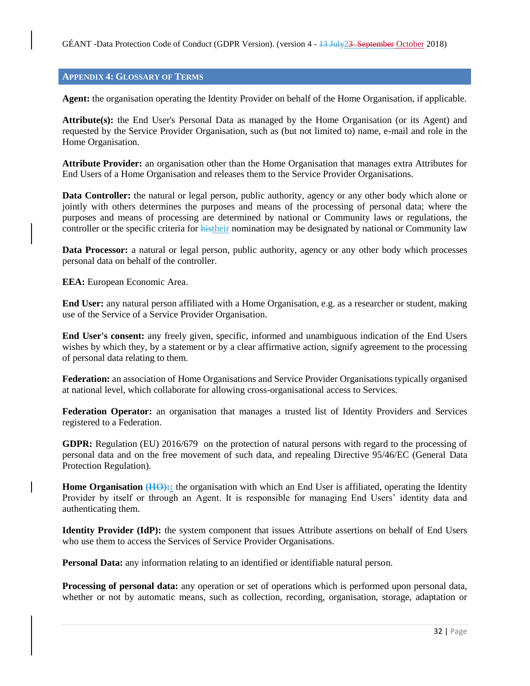#### <span id="page-31-0"></span>**APPENDIX 4: GLOSSARY OF TERMS**

**Agent:** the organisation operating the Identity Provider on behalf of the Home Organisation, if applicable.

**Attribute(s):** the End User's Personal Data as managed by the Home Organisation (or its Agent) and requested by the Service Provider Organisation, such as (but not limited to) name, e-mail and role in the Home Organisation.

**Attribute Provider:** an organisation other than the Home Organisation that manages extra Attributes for End Users of a Home Organisation and releases them to the Service Provider Organisations.

**Data Controller:** the natural or legal person, public authority, agency or any other body which alone or jointly with others determines the purposes and means of the processing of personal data; where the purposes and means of processing are determined by national or Community laws or regulations, the controller or the specific criteria for histheir nomination may be designated by national or Community law

**Data Processor:** a natural or legal person, public authority, agency or any other body which processes personal data on behalf of the controller.

**EEA:** European Economic Area.

**End User:** any natural person affiliated with a Home Organisation, e.g. as a researcher or student, making use of the Service of a Service Provider Organisation.

**End User's consent:** any freely given, specific, informed and unambiguous indication of the End Users wishes by which they, by a statement or by a clear affirmative action, signify agreement to the processing of personal data relating to them.

**Federation:** an association of Home Organisations and Service Provider Organisations typically organised at national level, which collaborate for allowing cross-organisational access to Services.

**Federation Operator:** an organisation that manages a trusted list of Identity Providers and Services registered to a Federation.

**GDPR:** Regulation (EU) 2016/679 on the protection of natural persons with regard to the processing of personal data and on the free movement of such data, and repealing Directive 95/46/EC (General Data Protection Regulation).

**Home Organisation (HO)::** the organisation with which an End User is affiliated, operating the Identity Provider by itself or through an Agent. It is responsible for managing End Users' identity data and authenticating them.

**Identity Provider (IdP):** the system component that issues Attribute assertions on behalf of End Users who use them to access the Services of Service Provider Organisations.

**Personal Data:** any information relating to an identified or identifiable natural person.

**Processing of personal data:** any operation or set of operations which is performed upon personal data, whether or not by automatic means, such as collection, recording, organisation, storage, adaptation or